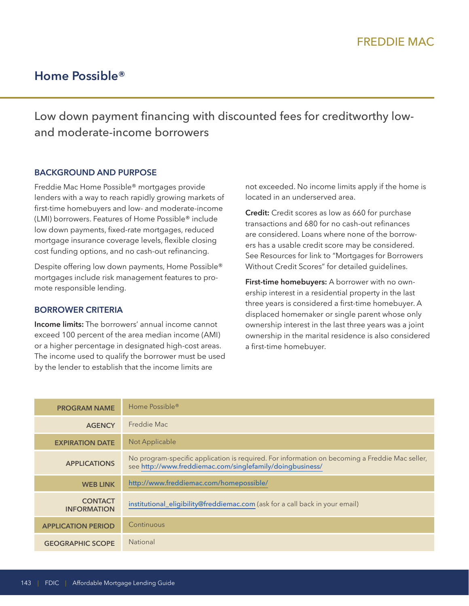# **Home Possible®**

Low down payment financing with discounted fees for creditworthy lowand moderate-income borrowers

#### **BACKGROUND AND PURPOSE**

Freddie Mac Home Possible® mortgages provide lenders with a way to reach rapidly growing markets of first-time homebuyers and low- and moderate-income (LMI) borrowers. Features of Home Possible® include low down payments, fixed-rate mortgages, reduced mortgage insurance coverage levels, flexible closing cost funding options, and no cash-out refinancing.

Despite offering low down payments, Home Possible® mortgages include risk management features to promote responsible lending.

#### **BORROWER CRITERIA**

**Income limits:** The borrowers' annual income cannot exceed 100 percent of the area median income (AMI) or a higher percentage in designated high-cost areas. The income used to qualify the borrower must be used by the lender to establish that the income limits are

not exceeded. No income limits apply if the home is located in an underserved area.

**Credit:** Credit scores as low as 660 for purchase transactions and 680 for no cash-out refinances are considered. Loans where none of the borrowers has a usable credit score may be considered. See Resources for link to "Mortgages for Borrowers Without Credit Scores" for detailed guidelines.

 three years is considered a first-time homebuyer. A a first-time homebuyer. **First-time homebuyers:** A borrower with no ownership interest in a residential property in the last displaced homemaker or single parent whose only ownership interest in the last three years was a joint ownership in the marital residence is also considered

| <b>PROGRAM NAME</b>                  | Home Possible <sup>®</sup>                                                                                                                                  |
|--------------------------------------|-------------------------------------------------------------------------------------------------------------------------------------------------------------|
| <b>AGENCY</b>                        | Freddie Mac                                                                                                                                                 |
| <b>EXPIRATION DATE</b>               | Not Applicable                                                                                                                                              |
| <b>APPLICATIONS</b>                  | No program-specific application is required. For information on becoming a Freddie Mac seller,<br>see http://www.freddiemac.com/singlefamily/doingbusiness/ |
| <b>WEB LINK</b>                      | http://www.freddiemac.com/homepossible/                                                                                                                     |
| <b>CONTACT</b><br><b>INFORMATION</b> | institutional_eligibility@freddiemac.com (ask for a call back in your email)                                                                                |
| <b>APPLICATION PERIOD</b>            | Continuous                                                                                                                                                  |
| <b>GEOGRAPHIC SCOPE</b>              | <b>National</b>                                                                                                                                             |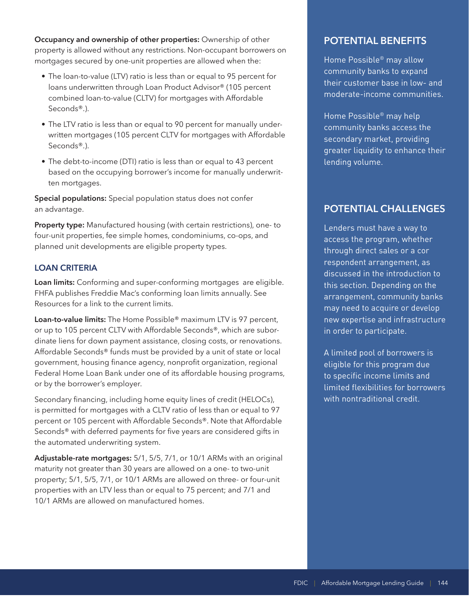**Occupancy and ownership of other properties:** Ownership of other property is allowed without any restrictions. Non-occupant borrowers on mortgages secured by one-unit properties are allowed when the:

- The loan-to-value (LTV) ratio is less than or equal to 95 percent for loans underwritten through Loan Product Advisor® (105 percent combined loan-to-value (CLTV) for mortgages with Affordable Seconds®.).
- The LTV ratio is less than or equal to 90 percent for manually underwritten mortgages (105 percent CLTV for mortgages with Affordable Seconds®.).
- The debt-to-income (DTI) ratio is less than or equal to 43 percent based on the occupying borrower's income for manually underwritten mortgages.

**Special populations:** Special population status does not confer an advantage.

**Property type:** Manufactured housing (with certain restrictions), one- to four-unit properties, fee simple homes, condominiums, co-ops, and planned unit developments are eligible property types.

#### **LOAN CRITERIA**

**Loan limits:** Conforming and super-conforming mortgages are eligible. FHFA publishes Freddie Mac's conforming loan limits annually. See Resources for a link to the current limits.

**Loan-to-value limits:** The Home Possible® maximum LTV is 97 percent, or up to 105 percent CLTV with Affordable Seconds®, which are subordinate liens for down payment assistance, closing costs, or renovations. Affordable Seconds® funds must be provided by a unit of state or local government, housing finance agency, nonprofit organization, regional Federal Home Loan Bank under one of its affordable housing programs, or by the borrower's employer.

Secondary financing, including home equity lines of credit (HELOCs), is permitted for mortgages with a CLTV ratio of less than or equal to 97 percent or 105 percent with Affordable Seconds®. Note that Affordable Seconds® with deferred payments for five years are considered gifts in the automated underwriting system.

**Adjustable-rate mortgages:** 5/1, 5/5, 7/1, or 10/1 ARMs with an original maturity not greater than 30 years are allowed on a one- to two-unit property; 5/1, 5/5, 7/1, or 10/1 ARMs are allowed on three- or four-unit properties with an LTV less than or equal to 75 percent; and 7/1 and 10/1 ARMs are allowed on manufactured homes.

## **POTENTIAL BENEFITS**

Home Possible® may allow community banks to expand their customer base in low- and moderate-income communities.

Home Possible® may help community banks access the secondary market, providing greater liquidity to enhance their lending volume.

### **POTENTIAL CHALLENGES**

through direct sales or a cor<br>respondent arrangement, as Lenders must have a way to access the program, whether discussed in the introduction to this section. Depending on the arrangement, community banks may need to acquire or develop new expertise and infrastructure in order to participate.

A limited pool of borrowers is eligible for this program due to specific income limits and limited flexibilities for borrowers with nontraditional credit.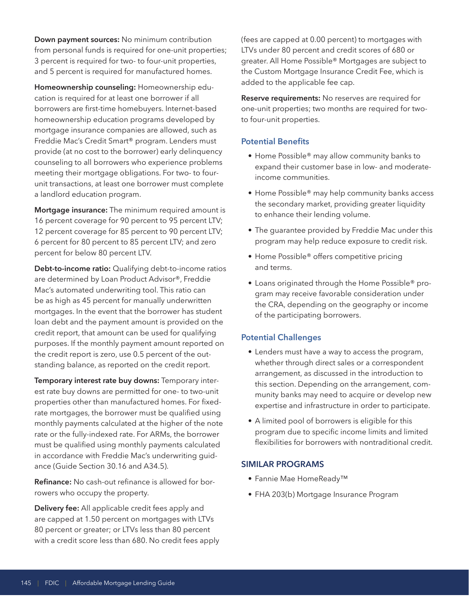**Down payment sources:** No minimum contribution from personal funds is required for one-unit properties; 3 percent is required for two- to four-unit properties, and 5 percent is required for manufactured homes.

**Homeownership counseling:** Homeownership education is required for at least one borrower if all borrowers are first-time homebuyers. Internet-based homeownership education programs developed by mortgage insurance companies are allowed, such as Freddie Mac's Credit Smart® program. Lenders must provide (at no cost to the borrower) early delinquency counseling to all borrowers who experience problems meeting their mortgage obligations. For two- to fourunit transactions, at least one borrower must complete a landlord education program.

**Mortgage insurance:** The minimum required amount is 16 percent coverage for 90 percent to 95 percent LTV; 12 percent coverage for 85 percent to 90 percent LTV; 6 percent for 80 percent to 85 percent LTV; and zero percent for below 80 percent LTV.

**Debt-to-income ratio:** Qualifying debt-to-income ratios are determined by Loan Product Advisor®, Freddie Mac's automated underwriting tool. This ratio can be as high as 45 percent for manually underwritten mortgages. In the event that the borrower has student loan debt and the payment amount is provided on the credit report, that amount can be used for qualifying purposes. If the monthly payment amount reported on the credit report is zero, use 0.5 percent of the outstanding balance, as reported on the credit report.

**Temporary interest rate buy downs:** Temporary interest rate buy downs are permitted for one- to two-unit properties other than manufactured homes. For fixedrate mortgages, the borrower must be qualified using monthly payments calculated at the higher of the note rate or the fully-indexed rate. For ARMs, the borrower must be qualified using monthly payments calculated in accordance with Freddie Mac's underwriting guidance (Guide Section 30.16 and A34.5).

**Refinance:** No cash-out refinance is allowed for borrowers who occupy the property.

**Delivery fee:** All applicable credit fees apply and are capped at 1.50 percent on mortgages with LTVs 80 percent or greater; or LTVs less than 80 percent with a credit score less than 680. No credit fees apply (fees are capped at 0.00 percent) to mortgages with LTVs under 80 percent and credit scores of 680 or greater. All Home Possible® Mortgages are subject to the Custom Mortgage Insurance Credit Fee, which is added to the applicable fee cap.

**Reserve requirements:** No reserves are required for one-unit properties; two months are required for twoto four-unit properties.

#### **Potential Benefits**

- Home Possible® may allow community banks to expand their customer base in low- and moderateincome communities.
- Home Possible® may help community banks access the secondary market, providing greater liquidity to enhance their lending volume.
- The guarantee provided by Freddie Mac under this program may help reduce exposure to credit risk.
- Home Possible® offers competitive pricing and terms.
- Loans originated through the Home Possible® program may receive favorable consideration under the CRA, depending on the geography or income of the participating borrowers.

### **Potential Challenges**

- Lenders must have a way to access the program, whether through direct sales or a correspondent arrangement, as discussed in the introduction to this section. Depending on the arrangement, community banks may need to acquire or develop new expertise and infrastructure in order to participate.
- A limited pool of borrowers is eligible for this program due to specific income limits and limited flexibilities for borrowers with nontraditional credit.

#### **SIMILAR PROGRAMS**

- Fannie Mae HomeReady™
- FHA 203(b) Mortgage Insurance Program